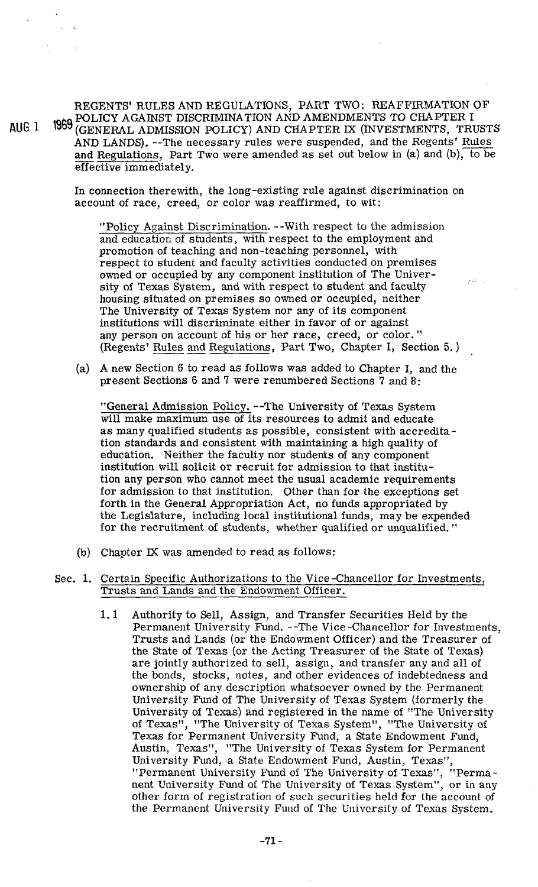REGENTS' RULES AND REGULATIONS, PART TWO: REAFFIRMATION OF POLICY AGAINST DISCRIMINATION AND AMENDMENTS TO CHAPTER I AUG <sup>1</sup> 1969 (GENERAL ADMISSION POLICY) AND CHAPTER IX (INVESTMENTS, TRUSTS AND LANDS). --The necessary rules were suspended, and the Regents' Rules and Regulations, Part Two were amended as set out below in (a) and (b), to be REGENTS' RULES AND REGULATIONS, PART TWO: REAFFIRMATION POLICY AGAINST DISCRIMINATION AND AMENDMENTS TO CHAPTER (GENERAL ADMISSION POLICY) AND CHAPTER IX (INVESTMENTS, T. AND LANDS). --The necessary rules were suspended, a effective immediately.

> In connection therewith, the long-existing rule against discrimination on account of race, creed, or color was reaffirmed, to wit:

"Policy Against Discrimination. --With respect to the admission and education of students, with respect to the employment and promotion of teaching and non-teaching personnel, with respect to student and faculty activities conducted on premises owned or occupied by any component institution of The University of Texas System, and with respect to student and faculty housing situated on premises so owned or occupied, neither The University of Texas System nor any of its component institutions will discriminate either in favor of or against any person on account of his or her race, creed, or color. " (Regents' Rules and Regulations, Part Two, Chapter I, Section 5.)

 $2.74 - 1.1$ 

(a) A new Section 6 to read as follows was added to Chapter I, and the present Sections 6 and 7 were renumbered Sections 7 and 8:

"General Admission Policy. --The University of Texas System will make maximum use of its resources to admit and educate as many qualified students as possible, consistent with accreditation standards and consistent with maintaining a high quality of education. Neither the faculty nor students of any component institution will solicit or recruit for admission to that institution any person who cannot meet the usual academic requirements for admission to that institution. Other than for the exceptions set forth in the General Appropriation Act, no funds appropriated by the Legislature, including local institutional funds, may be expended for the recruitment of students, whether qualified or unqualified. "

- (b) Chapter **M** was amended to read as follows:
- Sec. 1. Certain Specific Authorizations to the Vice-chancellor for Investments, Trusts and Lands and the Endowment Officer.
	- 1.1 Authority to Sell, Assign, and Transfer Securities Held by the Permanent University Fund. --The Vice-chancellor for Investments, Trusts and Lands (or the Endowment Officer) and the Treasurer of the State of Texas (or the Acting Treasurer of the State of Texas) are jointly authorized to sell, assign, and transfer any and all of the bonds, stocks, notes, and other evidences of indebtedness and ownership of any description whatsoever owned by the Permanent University Fund of The University of Texas System (formerly the University of Texas) and registered in the name of "The University of Texas", "The University of Texas System", "The University of Texas for Permanent University Fund, a State Endowment Fund, Austin, Texas", "The University of Texas System for Permanent University Fund, a State Endowment Fund, Austin, Texas", "Permanent University Fund of The University of Texas", "Permanent University Fund of The University of Texas System", or in any other form of registration 01 such securities held for the account of the Permanent University Fund of The University of Texas System.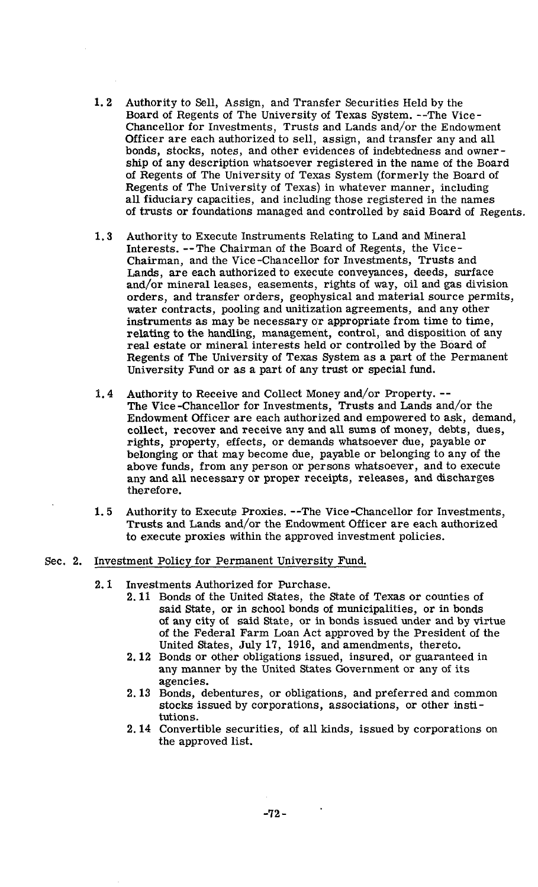- $1, 2$ Authority to Sell, Assign, and Transfer Securities Held by the Board of Regents of The University of Texas System. --The Vice-Chancellor for Investments, Trusts and Lands and/or the Endowment Officer are each authorized to sell, assign, and transfer any and all bonds, stocks, notes, and other evidences of indebtedness and owner ship of any description whatsoever registered in the name of the Board of Regents of The University of Texas System (formerly the Board of Regents of The University of Texas) in whatever manner, including all fiduciary capacities, and including those registered in the names of trusts or foundations managed and controlled by said Board of Regents.
- $1,3$ Authority to Execute Instruments Relating to Land and Mineral Interests. --The Chairman of the Board of Regents, the Vice-Chairman, and the Vice-Chancellor for Investments, Trusts and Lands, are each authorized to execute conveyances, deeds, surface and/or mineral Leases, easements, rights of way, oil and gas division orders, and transfer orders, geophysical and material source permits, water contracts, pooling and unitization agreements, and any other instruments as may be necessary or appropriate from time to time, relating to the handling, management, control, and disposition of any real estate or mineral interests held or controlled by the Board of Regents of The University of Texas System as a part of the Permanent University Fund or as a part of any trust or special fund.
- Authority to Receive and Collect Money and/or Property. --  $1.4$ The Vice -Chancellor for Investments, Trusts and Lands and/or the Endowment Officer are each authorized and empowered to ask, demand, collect, recover and receive any and all sums of money, debts, dues, rights, property, effects, or demands whatsoever due, payable or belonging or that may become due, payable or belonging to any of the above funds, from any person or persons whatsoever, and to execute any and all necessary or proper receipts, releases, and discharges therefore.
- $1.5$ Authority to Execute Proxies. --The Vice-Chancellor for Investments, Trusts and Lands and/or the Endowment Officer are each authorized to execute proxies within the approved investment policies.

### Sec. 2. Investment Policy for Permanent University Fund.

- **2.1** Investments Authorized for Purchase.
	- **2.11** Bonds of the United States, the State of Texas or counties of said State, or in school bonds of municipalities, or in bonds of any city of said State, or in bonds issued under and by virtue of the Federal Farm Loan Act approved by the President of the United States, July **17, 1916,** and amendments, thereto.
	- **2.12** Bonds or other obligations issued, insured, or guaranteed in any manner by the United States Government or any of its agencies.
	- **2.13** Bonds, debentures, or obligations, and preferred and common stocks issued by corporations, associations, or other institutions.
	- 2.14 Convertible securities, of all kinds, issued by corporations on the approved list.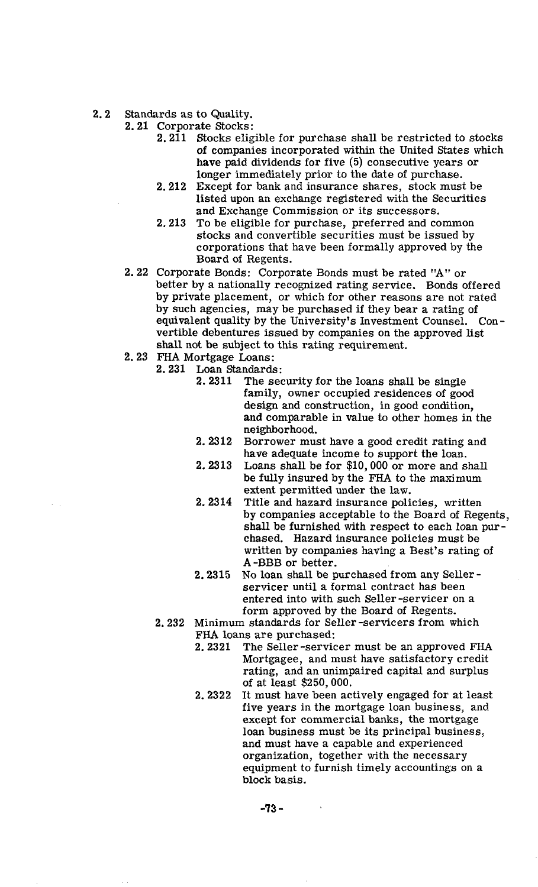- 2.2 Standards as to Quality.
	- 2.21 Corporate Stocks:
		- 2.211 Stocks eligible for purchase shall be restricted to stocks of companies incorporated within the United States which have paid dividends for five (5) consecutive years or longer immediately prior to the date of purchase.
		- 2.212 Except for bank and insurance shares, stock must be listed upon an exchange registered with the Securities and Exchange Commission or its successors.
		- 2.213 To be eligible for purchase, preferred and common stocks and convertible securities must be issued by corporations that have been formally approved by the Board of Regents.
	- 2.22 Corporate Bonds: Corporate Bonds must be rated "A" or better by a nationally recognized rating service. Bonds offered by private placement, or which for other reasons are not rated by such agencies, may be purchased if they bear a rating of equivalent quality by the University's Investment Counsel. Convertible debentures issued by companies on the approved list shall not be subject to this rating requirement.
	- 2.23 FHA Mortgage Loans:
		- 2.231 Loan Standards:
			- 2.2311 The security for the loans shall be single family, owner occupied residences of good design and construction, in good condition, and comparable in value to other homes in the neighborhood.
			- 2.2312 Borrower must have a good credit rating and have adequate income to support the loan.
			- 2.2313 Loans shall be for \$10,000 or more and shall be fully insured by the FHA to the maximum extent permitted under the law.
			- 2. 2314 Title and hazard insurance policies, written by companies acceptable to the Board of Regents, shall be furnished with respect to each loan purchased. Hazard insurance policies must be written by companies having a Best's rating of **A** -BBB or better.
			- 2.2315 No loan shall be purchased from any Seller servicer until a formal contract has been entered into with such Seller -servicer on a form approved by the Board of Regents.
		- 2.232 Minimum standards for Seller-servicers from which FHA loans are purchased:<br>2.2321 The Seller-servic
			- The Seller-servicer must be an approved FHA Mortgagee, and must have satisfactory credit rating, and an unimpaired capital and surplus of at least \$250,000.
			- 2.2322 It must have been actively engaged for at least five years in the mortgage loan business, and except for commercial banks, the mortgage loan business must be its principal business, and must have a capable and experienced organization, together with the necessary equipment to furnish timely accountings on a block basis.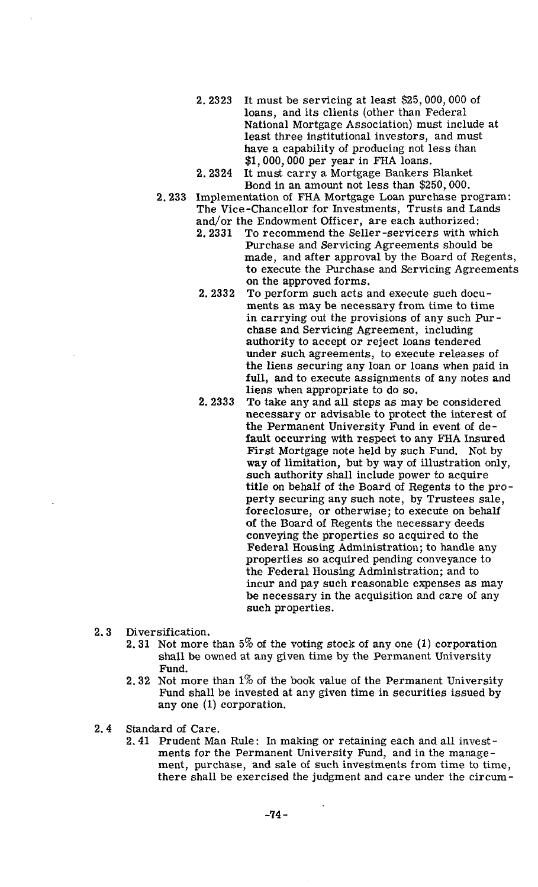- 2.2323 It must be servicing at least \$25,000,000 of loans, and its clients (other than Federal National Mortgage Association) must include at least three institutional investors, and must have a capability of producing not less than \$1,000,000 per year in FHA loans.
- 2.2324 It must carry a Mortgage Bankers Blanket Bond in an amount not less than \$250,000.
- 2.233 Implementation of FHA Mortgage Loan purchase program: The Vice-chancellor for Investments, Trusts and Lands and/or the Endowment Officer, are each authorized:
	- 2.2331 To recommend the Seller -servicers with which Purchase and Servicing Agreements should be made, and after approval by the Board of Regents, to execute the Purchase and Servicing Agreements on the approved forms.
	- 2.2332 To perform such acts and execute such documents as may be necessary from time to time in carrying out the provisions of any such Purchase and Servicing Agreement, including authority to accept or reject loans tendered under such agreements, to execute releases of the liens securing any loan or loans when paid in full, and to execute assignments of any notes and liens when appropriate to do so.
	- 2.2333 To take any and all steps as may be considered necessary or advisable to protect the interest of the Permanent University Fund in event of default occurring with respect to any FHA Insured First Mortgage note held by such Fund. Not by way of limitation, but by way of illustration only, such authority shall include power to acquire title on behalf of the Board of Regents to the property securing any such note, by Trustees sale, foreclosure, or otherwise; to execute on behalf of the Board of Regents the necessary deeds conveying the properties so acquired to the Federal Housing Administration; to handle any properties so acquired pending conveyance to the Federal Housing Administration; and to incur and pay such reasonable expenses as may be necessary in the acquisition and care of any such properties.
- 2.3 Diversification.
	- 2.31 Not more than 5% of the voting stock of any one (1) corporation shall be owned at any given time by the Permanent University Fund.
	- 2.32 Not more than  $1\%$  of the book value of the Permanent University Fund shall be invested at any given time in securities issued by any one (1) corporation.
- 2.4 Standard of Care.
	- 2.41 Prudent Man Rule: In making or retaining each and all investments for the Permanent University Fund, and in the management, purchase, and sale of such investments from time to time, there shall be exercised the judgment and care under the circum-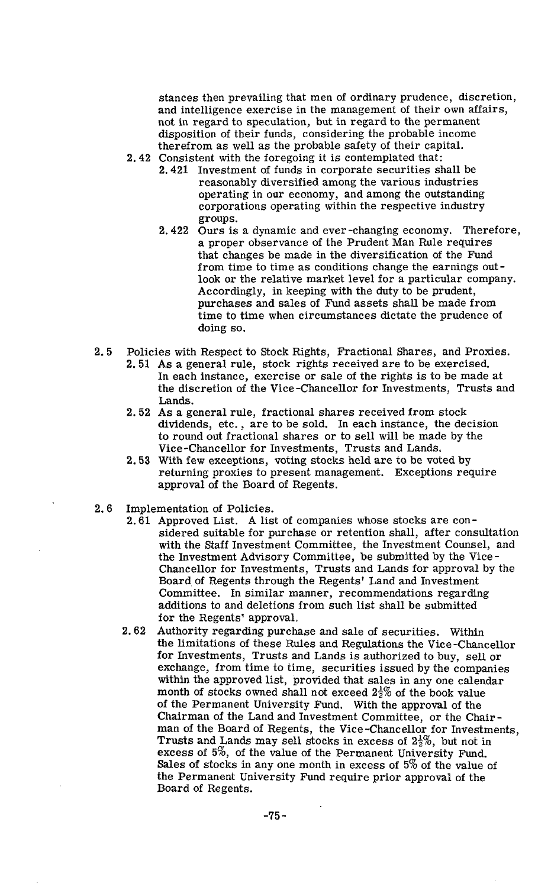stances then prevailing that men of ordinary prudence, discretion, and intelligence exercise in the management of their own affairs, not in regard to speculation, but in regard to the permanent disposition of their funds, considering the probable income therefrom as well as the probable safety of their capital.

- 2.42 Consistent with the foregoing it is contemplated that:
	- 2.421 Investment of funds in corporate securities shall be reasonably diversified among the various industries operating in our economy, and among the outstanding corporations operating within the respective industry groups.
	- 2.422 Ours is a dynamic and ever-changing economy. Therefore, a proper observance of the Prudent Man Rule requires that changes be made in the diversification of the Fund from time to time as conditions change the earnings outlook or the relative market level for a particular company. Accordingly, in keeping with the duty to be prudent, purchases and sales of Fund assets shall be made from time to time when circumstances dictate the prudence of doing so.
- 2.5 Policies with Respect to Stock Rights, Fractional Shares, and Proxies. 2.51 As a general rule, stock rights received are to be exercised. In each instance, exercise or sale of the rights is to be made at the discretion of the Vice-chancellor for Investments, Trusts and Lands.
	- 2.52 As a general rule. fractional shares received from stock dividends, etc., are to be sold. In each instance, the decision to round out fractional shares or to sell will be made by the Vice-Chancellor for Investments, Trusts and Lands.
	- 2.53 With few exceptions, voting stocks held are to be voted by returning proxies to present management. Exceptions require approval of the Board of Regents.
- 2.6 Implementation of Policies.
	- 2.61 Approved List. A list of companies whose stocks are considered suitable for purchase or retention shall, after consultation with the Staff Investment Committee, the Investment Counsel, and the Investment Advisory Committee, be submitted by the Vice-Chancellor for Investments, Trusts and Lands for approval by the Board of Regents through the Regents' Land and Investment Committee. In similar manner, recommendations regarding additions to and deletions from such list shall be submitted for the Regents' approval.
	- 2.62 Authority regarding purchase and sale of securities. Within the limitations of these Rules and Regulations the Vice -Chancellor for Investments, Trusts and Lands is authorized to buy, sell or exchange, from time to time, securities issued by the companies within the approved list, provided that sales in any one calendar month of stocks owned shall not exceed  $2\frac{1}{2}\%$  of the book value of the Permanent University Fund. With the approval of the Chairman of the Land and Investment Committee, or the Chair man of the Board of Regents, the Vice -Chancellor for Investments, Trusts and Lands may sell stocks in excess of  $2\frac{1}{2}\%$ , but not in excess of 5%, of the value of the Permanent University Fund. Sales of stocks in any one month in excess of 5% of the value of the Permanent University Fund require prior approval of the Board of Regents.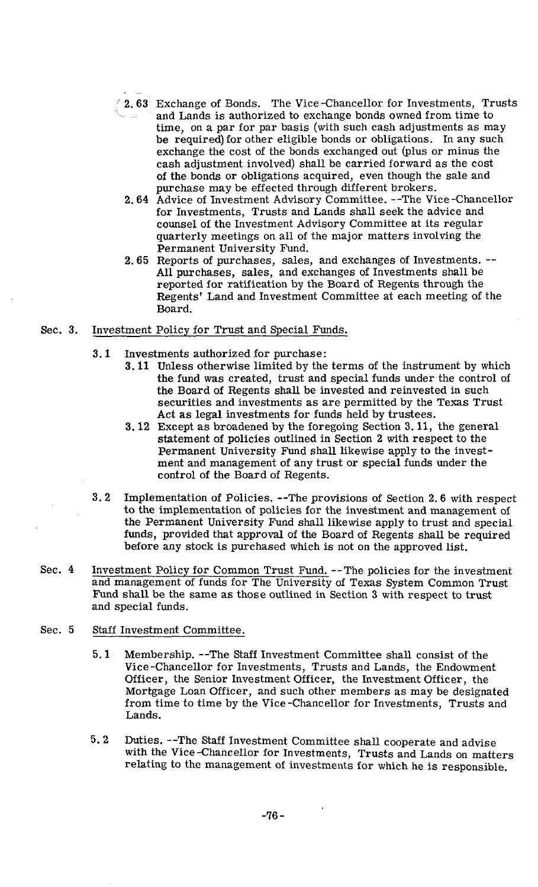- / **2.63** Exchange of Bonds. The Vice-Chancellor for Investments, Trusts and Lands is authorized to exchange bonds owned from time to time, on a par for par basis (with such cash adjustments as may be required) for other eligible bonds or obligations. In any such exchange the cost of the bonds exchanged out (plus or minus the cash adjustment involved) shall be carried forward as the cost of the bonds or obligations acquired, even though the sale and purchase may be effected through different brokers.
	- **2.64** Advice of Investment Advisory Committee. --The Vice-Chancellor for Investments, Trusts and Lands shall seek the advice and counsel of the Investment Advisory Committee at its regular quarterly meetings on all of the major matters involving the Permanent University Fund.
	- 2.65 Reports of purchases, sales, and exchanges of Investments. -- All purchases, sales, and exchanges of Investments shall be reported for ratification by the Board of Regents through the Regents' Land and Investment Committee at each meeting of the Board.
- Sec. **3.** Investment Policy for Trust and Special Funds.
	- **3.1** Investments authorized for purchase:
		- **3.11** Unless otherwise limited by the terms of the instrument by which the fund was created, trust and special funds under the control of the Board of Regents shall be invested and reinvested in such securities and investments as are permitted by the Texas Trust Act as legal investments for funds held by trustees.
		- **3.12** Except as broadened by the foregoing Section 3.11, the general statement of policies outlined in Section **2** with respect to the Permanent University Fund shall likewise apply to the investment and management of any trust or special funds under the control of the Board of Regents.
	- **3.2** Implementation of Policies. --The provisions of Section **2.6** with respect to the implementation of policies for the investment and management of the Permanent University Fund shall likewise apply to trust and special funds, provided that approval of the Board of Regents shall be required before any stock is purchased which is not on the approved list.
- Sec. **4** Investment Policy for Common Trust Fund. --The policies for the investment and management of funds for The University of Texas System Common Trust Fund shall be the same as those outlined in Section **3** with respect to trust and special funds.

### Sec. 5 Staff Investment Committee.

- **5.1** Membership. --The **Staff** Investment Committee shall consist of the Vice-Chancellor for Investments, Trusts and Lands, the Endowment Officer, the Senior Investment Officer, the Investment Officer, the Mortgage Loan Officer, and such other members as may be designated from time to time by the Vice-Chancellor for Investments, Trusts and Lands.
- **5.2** Duties. --The **Staff** Investment Committee shall cooperate and advise with the Vice-Chancellor for Investments, Trusts and Lands on matters relating to the management of investments for which he is responsible.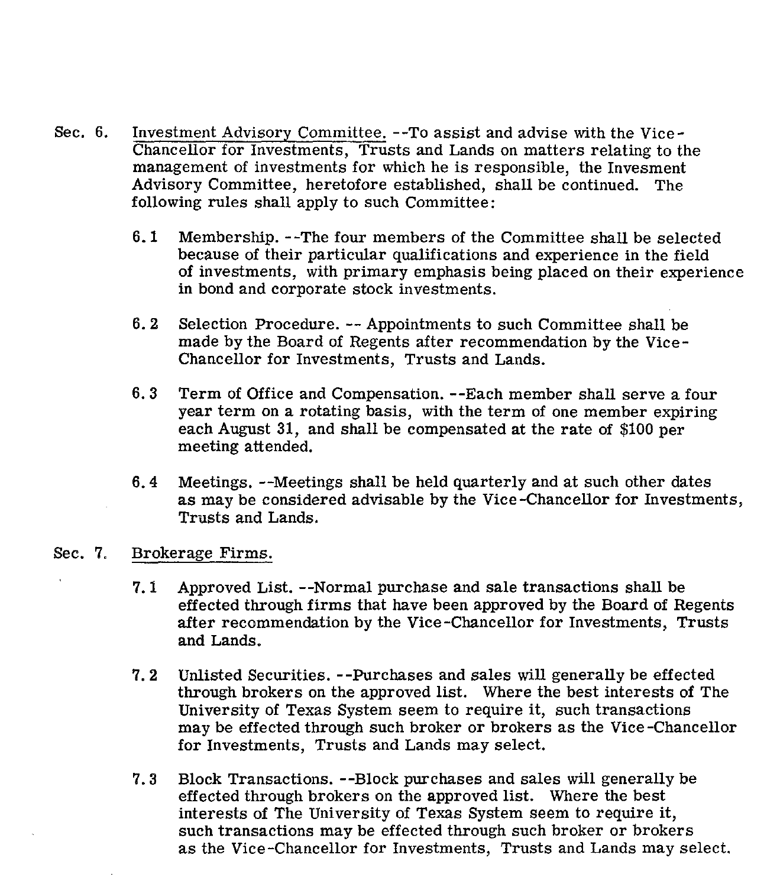- Sec. 6. Investment Advisory Committee. --To assist and advise with the Vice-Chancellor for Investments, Trusts and Lands on matters relating to the management of investments for which he is responsible, the Invesment Advisory Committee, heretofore established, shall be continued. The following rules shall apply to such Committee:
	- $6.1$ Membership. --The four members of the Committee shall be selected because of their particular qualifications and experience in the field of investments, with primary emphasis being placed on their experience in bond and corporate stock investments.
	- $6.2$ Selection Procedure. -- Appointments to such Committee shall be made by the Board of Regents after recommendation by the Vice-Chancellor for Investments, Trusts and Lands.
	- $6.3$ Term of Office and Compensation. --Each member shall serve a four year term on a rotating basis, with the term of one member expiring each August 31, and shall be compensated at the rate of \$100 per meeting attended.
	- Meetings. --Meetings shall be held quarterly and at such other dates  $6.4$ as may be considered advisable by the Vice-chancellor for Investments, Trusts and Lands.

# Sec. 7. Brokerage Firms.

- $7.1$ Approved List. --Normal purchase and sale transactions shall be effected through firms that have been approved by the Board of Regents after recommendation by the Vice-Chancellor for Investments, Trusts and Lands.
- $7.2$ Unlisted Securities. --Purchases and sales will generally be effected through brokers on the approved list. Where the best interests of The University of Texas System seem to require it, such transactions may be effected through such broker or brokers as the Vice -Chancellor for Investments, Trusts and Lands may select.
- $7.3$ Block Transactions. --Block purchases and sales will generally be effected through brokers on the approved list. Where the best interests of The University of Texas System seem to require it, such transactions may be effected through such broker or brokers as the Vice-chancellor for Investments, Trusts and Lands may select.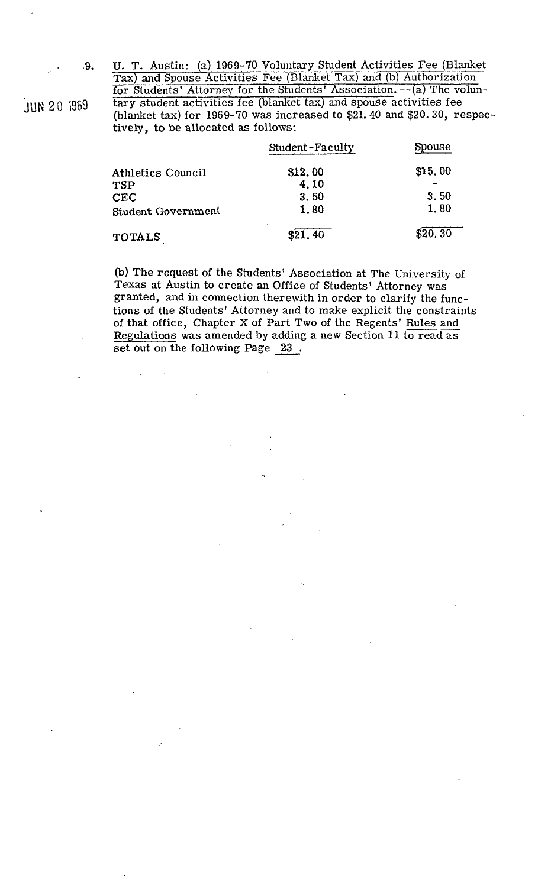**9.** U. T. Austin: (a) 1969-70 Voluntary Student Activities Fee (Blanket Tax) and Spouse Activities Fee (Blanket Tax) and (b) Authorization for Students' Attorney for the Students' Association. --(a) The volun**jUN 2**0 1969 **tary student activities fee (blanket tax) and spouse activities fee** (blanket tax) for 1969-70 was increased to \$21.40 and \$20.30. respectively, to be allocated as follows:

|                    | Student-Faculty           | Spouse   |
|--------------------|---------------------------|----------|
| Athletics Council  | \$12.00                   | \$15.00  |
| TSP                | 4.10                      |          |
| ${\rm CEC}$        | 3.50                      | 3.50     |
| Student Government | 1,80                      | 1.80     |
| TOTALS             | $\blacksquare$<br>\$21.40 | \$20, 30 |

**(b)** The request of the Students' Association at The University of Texas at Austin to create an Office of Students' Attorney was granted, and in connection therewith in order to clarify the functions of the Students' Attorney and to make explicit the constraint of that office, Chapter X o granted, and in connection therewith in order to clarify the functions of the Students' Attorney and to make explicit the constraints Regulations was amended by adding a new Section 11 to read as set out on the following Page 23. of that office, Chapter X of Part Two of the Regents' Rules and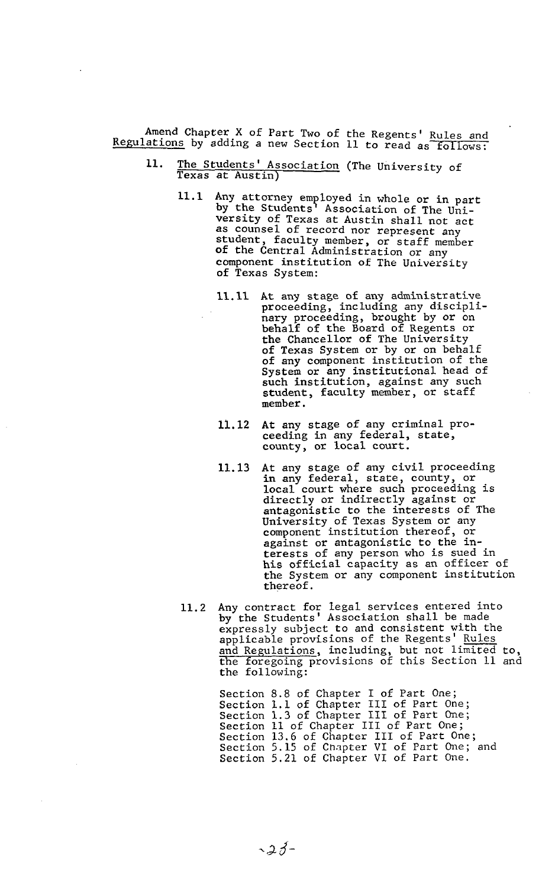Amend Chapter X of Part Two of the Regents' Rules and Regulations by adding a new Section 11 to read as follows:

- 11. The Students' Association (The University of Texas at Austin)
	- 11.1 Any attorney employed in whole or in part by the Students' Association of The University of Texas at Austin shall not act as counsel of record nor represent any student, faculty member, or staff member of the Central Administration or any component institution of The University of Texas System:
		- 11.11 At any stage of any administrative proceeding, including any disciplinary proceeding, brought by or on behalf of the Board of Regents or the Chancellor of The University of Texas System or by or on behalf of any component institution of the System or any institutional head of such institution, against any such student, faculty member, or staff member.
		- 11.12 At any stage of any criminal proceeding in any federal, state, county, or local court.
		- 11.13 At any stage of any civil proceeding in any federal, state, county, or local court where such proceeding is directly or indirectly against or antagonistic to the interests of The University of Texas System or any component institution thereof, or against or antagonistic to the interests of any person who is sued in his official capacity as an officer of the System or any component institution thereof.
	- 11.2 Any contract for legal services entered into by the Students' Association shall be made expressly subject to and consistent with the applicable provisions of the Regents' Rules and Regulations, including, but not limired to, the foregoing provisions of this Section 11 and the following:

Section 8.8 of Chapter I of Part One; Section 1.1 of Chapter 111 of Part One; Section 1.3 of Chapter I11 of Part One; Section 11 of Chapter 111 of Part One; Section 13.6 of Chapter I11 of Part One; Section 5.15 of Chapter VI of Part One; and Section 5.21 of Chapter VI of Part One.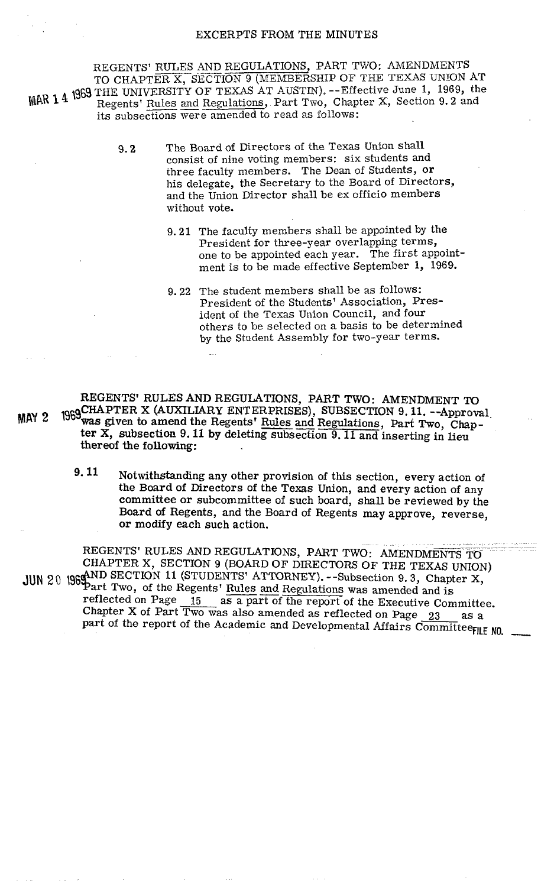#### EXCERPTS **FROM** THE MINUTES

REGENTS' RULES AND REGULATIONS, PART TWO: AMENDMENTS TO CHAPTER X, SECTION 9 (MEMBERSHIP OF THE TEXAS UNION AT **4** 1969 THE UNIVERSITY OF TEXAS AT AUSTIN). --Effective June 1, 1969, the REGENTS' RULES AND REGULATIONS, PART TWO: AMENDMENTS<br>TO CHAPTER X, SECTION 9 (MEMBERSHIP OF THE TEXAS UNION AT<br>THE UNIVERSITY OF TEXAS AT AUSTIN). --Effective June 1, 1969, the<br>Regents' Rules and Regulations, Part Two, Cha Regents' Rules and Regulations, Part Two, Chapter X, Section 9.2 and<br>its subsections were amended to read as follows:

- 9.2 The Board of Directors of the Texas Union shall consist of nine voting members: six students and three faculty members. The Dean of Students, or his delegate, the Secretary to the Board of Directors, and the Union Director shall be ex officio members without vote.
	- 9.21 The faculty members shall be appointed by the President for three-year overlapping terms, one to be appointed each year. The first appointment is to be made effective September **1,** 1969.
	- 9.22 The student members shall be as follows: President of the Students' Association, President of the Texas Union Council, and four others to be selected on a basis to be determined by the Student Assembly for two-year terms.

REGENTS' RULES AND REGULATIONS, PART TWO: AMENDMENT TO MAY 2 1969 CHAPTER X (AUXILIARY ENTERPRISES), SUBSECTION 9.11. --Approval, **2 1969**was given to amend the Regents' <u>Rules and Regulations</u>, Part Two, Chapter X, subsection 9.11 by deleting subsection 9.11 and inserting in lieu thereof the following:

> **9- 11** Notwithstanding any other provision of this section, every action of the Board of Directors of the Texas Union, and every action of any committee or subcommittee of such board, shall be reviewed by the Board of Regents, and the Board of Regents may approve, reverse, or modify each such action.

REGENTS' RULES AND REGULATIONS, PART TWO: AMENDMENTS TO CHAPTER X, SECTION 9 (BOARD OF DIRECTORS OF THE TEXAS UNION) JUN 20 1969 AND SECTION 11 (STUDENTS' ATTORNEY). --Subsection 9.3, Chapter X, reflected on Page  $15$  as a part of the report of the Executive Committee. Chapter X of Part Two was also amended as reflected on Page  $23$  as a part of the report of the Academic and Developmental Affairs Committeerly NO.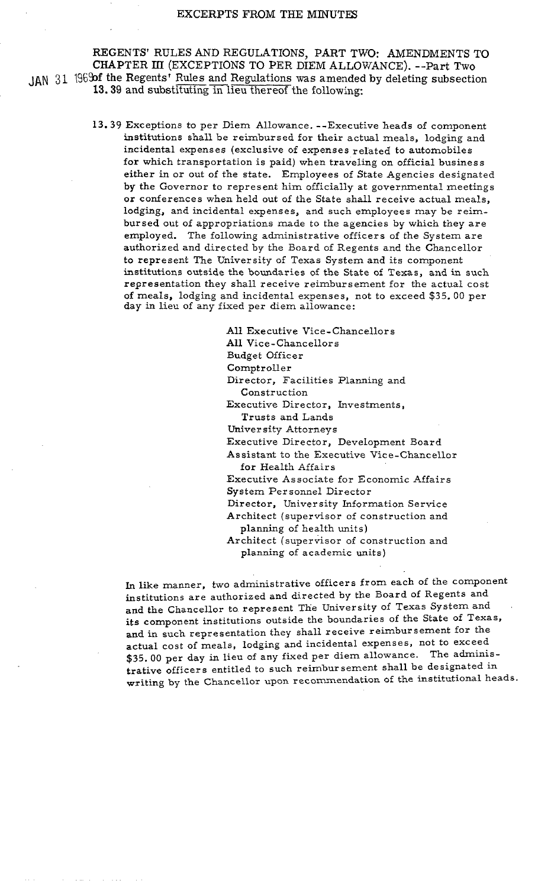REGENTS' RULES AND REGULATIONS, PART TWO: AMENDMENTS TO CHAPTER **111** (EXCEPTIONS TO PER DIEM ALLOWANCE). --Part Two JAN 31 1969 of the Regents' Rules and Regulations was amended by deleting subsection 13.39 and substituting in lieu thereof the following:

> 13.39 Exceptions to per Diem Allowance. --Executive heads of component institutions shall be reimbursed for their actual meals, lodging and incidental expenses (exclusive of expenses related to automobiles for which transportation is paid) when traveling on official business either in or out of the state. Employees of State Agencies designated by the Governor to represent him officially at governmental meetings or conferences when held out of the State shall receive actual meals, lodging, and incidental expenses, and such employees may be reimbursed out of appropriations made to the agencies by which they are employed. The following administrative officers of the System are authorized and directed by the Board of Regents and the Chancellor to represent The University of Texas System and its component institutions outside the boundaries of the State of Texas, and in such representation they shall receive reimbursement for the actual cost of meals, lodging and incidental expenses, not to exceed \$35. 00 per day in lieu of any fixed per diem allowance:

> > All Executive Vice-chancellor s A11 Vice-Chancellors Budget Officer Comptroller Director, Facilities Planning and Construction Executive Director, Investments, Trusts and Lands University Attorneys Executive Director, Development Board Assistant to the Executive Vice-chancellor for Health Affairs Executive Associate for Economic Affairs System Personnel Director Director, University Information Service Architect (supervisor of construction and planning of health units) Architect (supervisor of construction and

planning of academic units)

In like manner, two administrative officers from each of the component institutions are authorized and directed by the Board of Regents and and the Chancellor to represent The University of Texas System and its component institutions outside the boundaries of the State of Texas, and in such representation they shall receive reimbursement for the actual cost of meals, lodging and incidental expenses, not to exceed \$35.00 per day in lieu of any fixed per diem allowance. The administrative officers entitled to such reimbursement shall be designated in writing by the Chancellor upon recommendation of the institutional heads.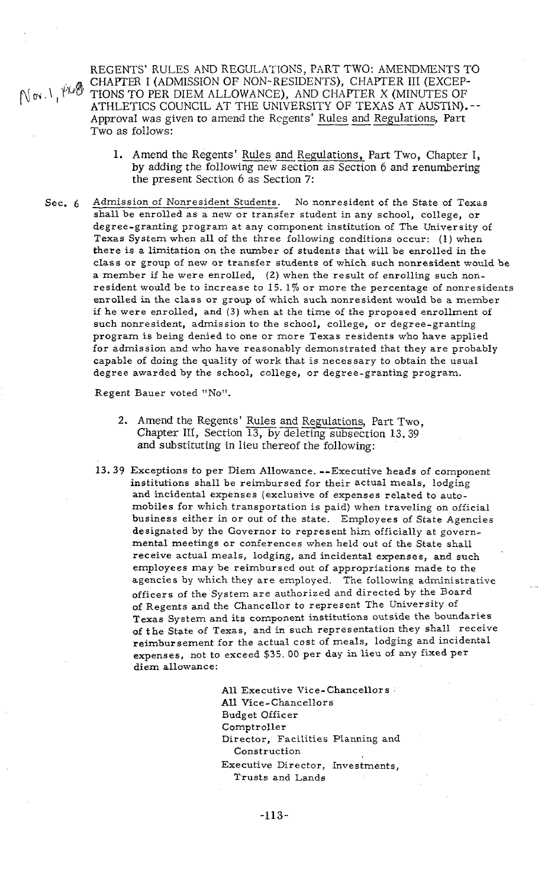REGENTS' RULES AND REGULATIONS, PART TWO: AMENDMENTS TO CHAPTER I (ADMISSION OF NON-RESIDENTS), CHAPTER III (EXCEP- $\mathbb{N}$  or  $\lambda$ ,  $\mathbb{M}$  and  $\mathbb{N}$  TIONS TO PER DIEM ALLOWANCE), AND CHAPTER X (MINUTES OF ATHLETICS COUNCIL AT THE UNIVERSITY OF TEXAS AT AUSTIN). -- REGENTS' RULES AND REGULATIONS, PART TWO: AMENDMENTS T<br>CHAPTER I (ADMISSION OF NON-RESIDENTS), CHAPTER III (EXCEP-<br>TIONS TO PER DIEM ALLOWANCE), AND CHAPTER X (MINUTES OF<br>ATHLETICS COUNCIL AT THE UNIVERSITY OF TEXAS AT AUS Two as follows: LETICS COUNCIL AT THE UNIVERSITY OF TEXAS AT AUSTIN).--<br>coval was given to amend the Regents' <u>Rules and Regulations</u>, Part<br>as follows:<br>**1.** Amend the Regents' <u>Rules and Regulations</u>, Part Two, Chapter I,<br>by adding the fo

- 1. Amend the Regents' Rules and Regulations, Part Two, Chapter I, by adding the following new section as Section 6 and renumbering the present Section 6 as Section **7:**
- Sec. **6** Admission of Nonresident Students. No nonresident of the State of Texas shall be enrolled as a new or transfer student in any school, college, or degree-granting program at any component institution of The University of Texas System when all of the three following conditions occur: (1) when there is a limitation on the number of students that will be enrolled in the class or group of new or transfer students of which such nonresident would be a member if he were enrolled, (2) when the result of enrolling such nonresident would be to increase to 15.1% or more the percentage of nonresidents enrolled in the class or group of which such nonresident would be a member if he were enrolled, and (3) when at the time of the proposed enrollment of such nonresident, admission to the school, college, or degree-granting program is being denied to one or more Texas residents who have applied for admission and who have reasonably demonstrated that they are probably capable of doing the quality of work that is necessary to obtain the usual degree awarded by the school, college, or degree-granting program.

Regent Bauer voted "No".

- ee awarded by the school, college, or degree-granting prosent Bauer voted "No".<br>
2. Amend the Regents' Rules and Regulations, Part Two,<br>
Chapter III, Section 13, by deleting subsection 13.39 and substituting in lieu thereof the following:
- **13.39** Exceptions to per Diem Allowance. --Executive heads of component institutions shall be reimbursed for their actual meals, lodging and incidental expenses (exclusive of expenses related to automobiles for which transportation is paid) when traveling on official business either in or out of the state. Employees of State Agencies designated by the Governor to represent him officially at governmental meetings or conferences when held out of the State shall receive actual meals, lodging, and incidental expenses, and such employees may be reimbursed out of appropriations made to the agencies by which they are employed. The following administrative officers of the System are authorized and directed by the Board of Regents and the Chancellor to represent The University of Texas System and its component institutions outside the boundaries of the State of Texas, and in such representation they shall receive reimbursement for the actual cost of meals, lodging and incidental expenses, not to exceed \$35. 00 per day in lieu of any fixed per diem allowance:

All Executive Vice-Chancellors **All** Vice-Chancellors Budget Officer Comptroller Director, Facilities Planning and Construction Executive Director, Investments, Trusts and Lands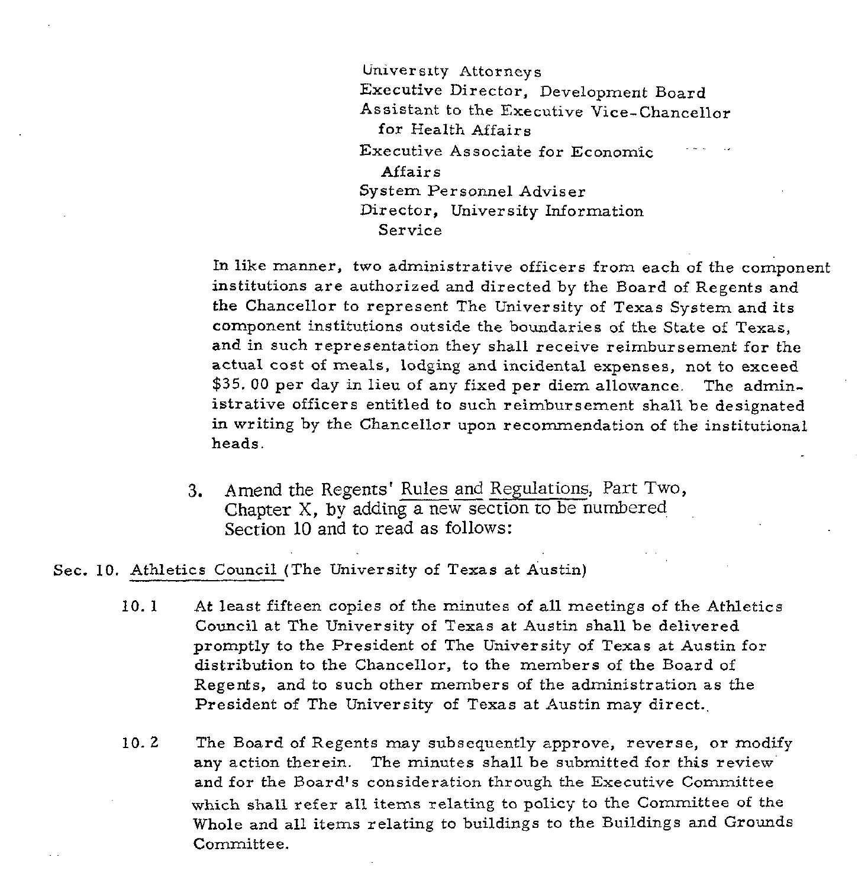University Attorneys Executive Director, Development Board Assistant to the Executive Vice-chancellor for Health Affairs Executive Associate for Economic Affairs System Personnel Adviser Director, University Information Service

In like manner, two administrative officers from each of the component institutions are authorized and directed by the Board of Regents and the Chancellor to represent The University of Texas System and its component institutions outside the boundaries of the State of Texas, and in such representation they shall receive reimbursement for the actual cost of meals, lodging and incidental expenses, not to exceed \$35. 00 per day in lieu of any fixed per diem allowance. The administrative officers entitled to such reimbursement shall be designated in writing by the Chancellor upon recommendation of the institutional heads.

3. Amend the Regents' Rules and Regulations, Part Two, Chapter  $X$ , by adding a new section to be numbered Section 10 and to read as follows:

Sec. 10. Athletics Council (The University of Texas at Austin)

- 10. 1 At least fifteen copies of the minutes of all meetings of the Athletics Council at The University of Texas at Austin shall be delivered promptly to the President of The University of Texas at Austin for distribution to the Chancellor, to the members of the Board of Regents, and to such other members of the administration as the President of The University of Texas at Austin may direct.,
- 10.2 The Board of Regents may subsequently approve, reverse, or modify any action therein. The minutes shall be submitted for this review and for the Board's consideration through the Executive Committee which shall refer all items relating to policy to the Committee of the Whole and all items relating to buildings to the Buildings and Grounds Committee.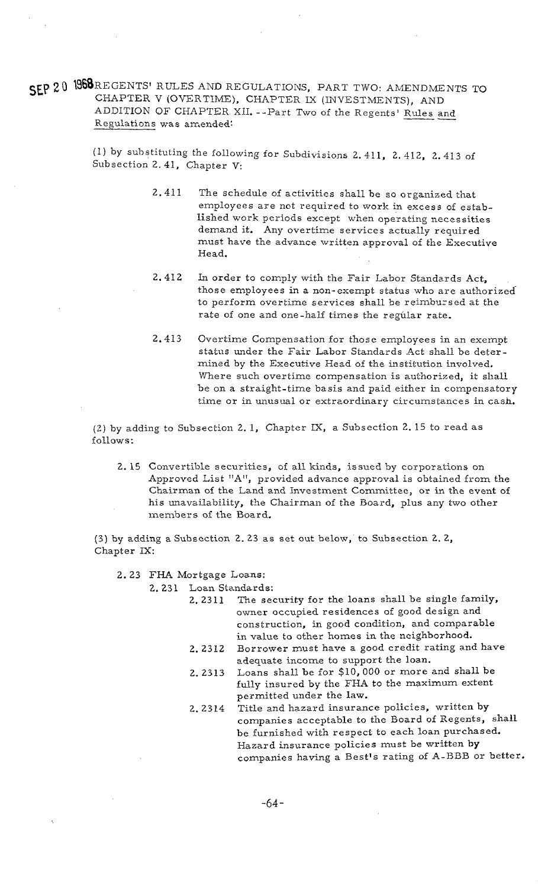**SEP 20 ISSOREGENTS' RULES AND REGULATIONS, PART TWO: AMENDMENTS TO** CHAPTER V (OVERTIME), CHAPTER IX (INVESTMENTS), AND ADDITION OF CHAPTER XII. --Part Two of the Regents' Rules and REGENTS' RULES AND REGULATIONS, PART TWO: AMENDMENTS T<br>CHAPTER V (OVERTIME), CHAPTER IX (INVESTMENTS), AND<br>ADDITION OF CHAPTER XII.--Part Two of the Regents' <u>Rules and</u><br>Regulations was amended:

> (1) by substituting the following for Subdivisions 2.4.11, 2. 412, 2.413 of Subsection 2.41, Chapter V:

- 2.411 The schedule of activities shall be so organized that employees are net required to work in excess of established work periods except when operating necessities demand it. Any overtime services actually required must have the advance written approval of the Executive Head.
- 2.412 In order to comply with the Fair Labor Standards Act, those employees in a non-exempt status who are authorizedto perform overtime services shall be reimbursed at the rate of one and one-half times the regular rate.
- 2.413 Overtime Compensation for those employees in an exempt status under the Fair Labor Standards .Act shall be determined by the Executive Head of the institution involved. Where such overtime compensation is authorized, it shall be on a straight-time basis and paid either in compensatory time or in unusual or extraordinary circumstances in cash.

(2) by adding to Subsection 2. 1, Chapter IX, a Subsection 2. 15 to read as follows :

2. 15 Convertible securities, of all kinds, issued by corporations on Approved List "A", provided advance approval is obtained from the Chairman of the Land and Investment Committee, or in the event of his unavailability, the Chairman of the Board, plus any two other members of the Board.

(3) by adding a Subsection 2. 23 as set out below, to Subsection 2. 2, Chapter IX:

2.23 FHA Mortgage Loans:

2.231 Loan Standards:

- 2. 2311 The security for the loans shall be single family, owner occupied residences of good design and construction, in good condition, and comparable in value to other homes in the neighborhood.
- 2.2312 Borrower must have a good credit rating and have adequate income to support the loan.
- 2. 2313 Loans shall be for \$10,000 or more and shall be fully insured by the FHA to the maximum extent permitted under the law.
- 2. 2314 Title and hazard insurance policies, written by companies acceptable to the Board of Regents, shall be furnished with respect to each loan purchased. Hazard insurance policies must be written by companies having a Best's rating of A-BBB or better.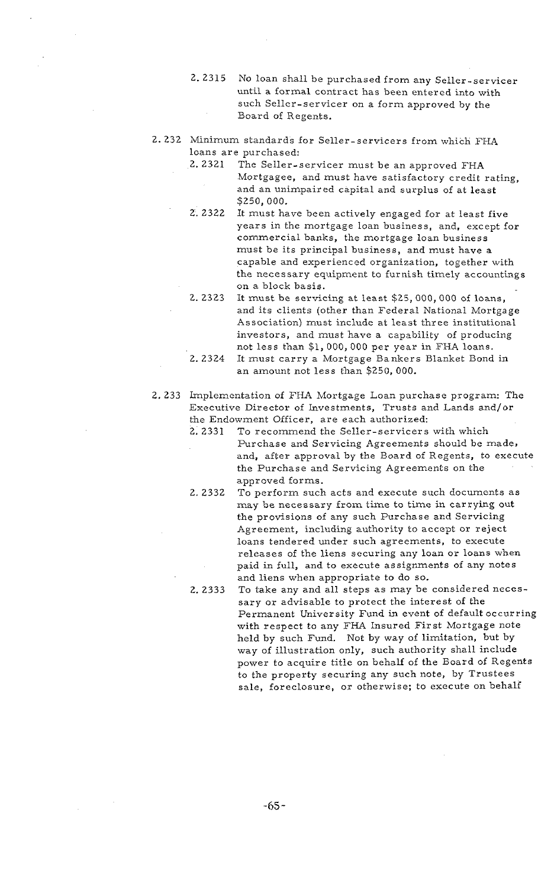- 2.2315 No loan shall be purchased from any Seller-servicer until a formal contract has been entered into with such Seller-servicer on a form approved by the Board of Regents.
- 2.232 Minimum standards for Seller-servicers from which FHA loans are purchased:
	- 2.2321 The Seller-servicer must be an approved FHA Mortgagee, and must have satisfactory credit rating, and an unimpaired capital and surplus of at least \$250,000.
	- $2.2322$ It must have been actively engaged for at least five years in the mortgage loan business, and, except for commercial banks, the mortgage loan business must be its principal business, and must have a capable and experienced organization, together with the necessary equipment to furnish timely accountings on a block basis.
	- 2.2323 It must be servicing at least \$25, 000, 000 of loans, and its clients (other than Federal National Mortgage Association) must include at least three institutional investors, and must have a capability of producing not less than \$1,000,000 per year in FHA loans.
	- 2.2324 It must carry a Mortgage Bankers Blanket Bond in an amount not less than \$250, 000.
- 2. 233 Implementation of FHA Mortgage Loan purchase program: The Executive Director of Investments, Trusts and Lands and/or the Endowment Officer, are each authorized:
	- To recommend the Seller-servicers with which 2.2331 Purchase and Servicing Agreements should be made. and, after approval by the Board of Regents, to execute the Purchase and Servicing Agreements on the approved forms.
	- 2.2332 To perform such acts and execute such documents as may be necessary from time to time in carrying out the provisions of any such Purchase and Servicing Agreement, including authority to accept or reject loans tendered under such agreements, to execute releases of the liens securing any loan or loans when paid in full, and to execute assignments of any notes and liens when appropriate to do so.
	- 2.2333 To take any and all steps as may be considered necessary or advisable to protect the interest of the Permanent University Fund in event of default occurring with respect to any FHA Insured First Mortgage note held by such Fund. Not by way of limitation, but by way of illustration only, such authority shall include power to acquire title on behalf of the Board of Regents to the property securing any such note, by Trustees sale, foreclosure, or otherwise; to execute on behalf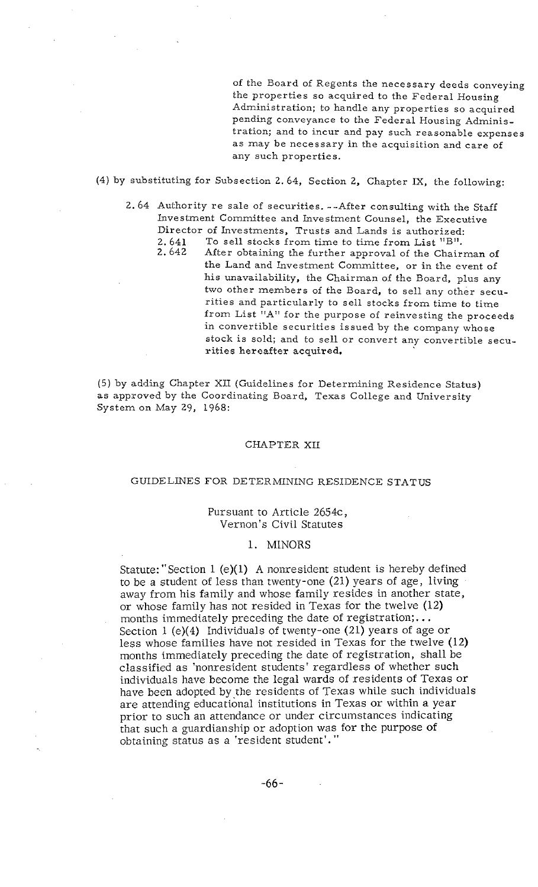of the Board of Regents the necessary deeds conveying the properties so acquired to the Federal Housing Administration; to handle any properties so acquired pending conveyance to the Federal Housing Administration; and to incur and pay such reasonable expenses as may be necessary in the acquisition and care of any such properties.

(4) by substituting for Subsection 2.64, Section 2, Chapter IX, the following:

- 2. 64 Authority re sale of securities. --After consulting with the Staff Investment Committee and Jnvestment Counsel, the Executive Director of investments, Trusts and Lands is authorized:
	- 2. 641 To sell stocks from time to time from List  $B''$ .<br>2. 642 After obtaining the further approval of the Chair
		- After obtaining the further approval of the Chairman of the Land and Investment Committee, or in the event of his unavailability, the Chairman of the Board, plus any two other members of the Board, to sell any other securities and particularly to sell stocks from time to time from List "A" for the purpose of reinvesting the proceeds in convertible securities issued by the company whose stock is sold; and to sell or convert any convertible securities hereafter acquired.

(5) by adding Chapter XU. (Guidelines for Determining Residence Status) as approved by the Coordinating Board, Texas College and University System on May 29, 1968:

#### CHAPTER XI1

#### GUIDELINES FOR DETERMINING RESIDENCE STATUS

#### Pursuant to Article 2654c, Vernon's Civil Statutes

### 1. MINORS

Statute: "Section 1 (e)(l) A nonresident student is hereby defined to be a student of less than twenty-one (21) years of age, living away from his family and whose family resides in another state, or whose family has not resided in Texas for the twelve  $(12)$  months immediately preceding the date of registration;... Section 1 (e)(4) Individuals of twenty-one (21) years of age or less whose families have not resided in Texas for the twelve (12) months immediately preceding the date of registration, shall be classified as 'nonresident students' regardless of whether such individuals have become the legal wards of residents of Texas or have been adopted by the residents of Texas while such individuals are attending educational institutions in Texas or within a year prior to such an attendance or under circumstances indicating that such a guardianship or adoption was for the purpose of obtaining status as a 'resident student'."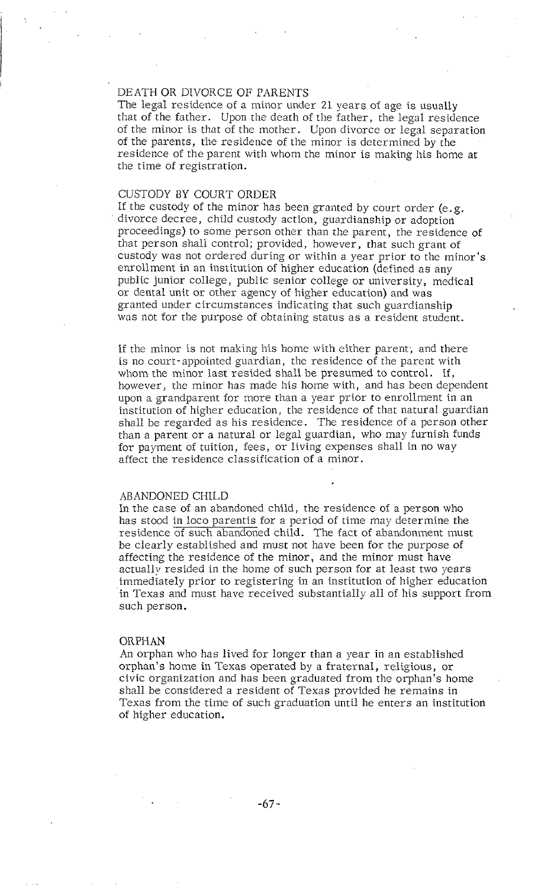# DEATH OR DIVORCE OF PARENTS

The legal residence of a minor under 21 years of age is usually that of the father. Upon the death of the father, the legal residence of the minor is that of the mother. Upon divorce or legal separation of the parents, the residence of the minor is determined by the residence of the parent with whom the minor is making his home at the time of registration.

### CUSTODY BY COURT ORDER

If the custody of the minor has been granted by court order (e.g. divorce decree, child custody action, guardianship or adoption proceedings) to some person other than the parent, the residence of that person shall control; provided, however, that such grant of custody was not ordered during or within a year prior to the minor's enrollment in an institution of higher education (defined as any public junior college, public senior college or university, medical or dental unit or other agency of higher education) and was granted under circumstances indicating that such guardianship was not for the purpose of obtaining status as a resident student.

If the minor is not making his home with either parent; and there is no court-appointed guardian, the residence of the parent with whom the minor last resided shall be presumed to control. If, however, the minor has made his home with, and has been dependent upon a grandparent for more than a year prior to enrollment in an institution of higher education, the residence of that natural guardian shall be regarded as his residence. The residence of a person other than a parent or a natural or legal guardian, who may furnish funds for payment of tuition, fees, or living expenses shall in no way affect the residence classification of a minor.

### ABANDONED CHILD

In the case of an abandoned child, the residence of a person who has stood in loco parentis for a period of time may determine the residence of such abandoned child. The fact of abandonment must be clearly established and must not have been for the purpose of affecting the residence of the minor, and the minor must have actuallv resided in the home of such person for at least two years immediately prior to registering in an institution of higher education in Texas and must have received substantially all of his support from such person.

#### ORPHAN

An orphan who has lived for longer than a year in an established orphan's home in Texas operated by a fraternal, religious, or civic organization and has been graduated from the orphan's home shall be considered a resident of Texas provided he remains in Texas from the time of such graduation until he enters an institution of higher education.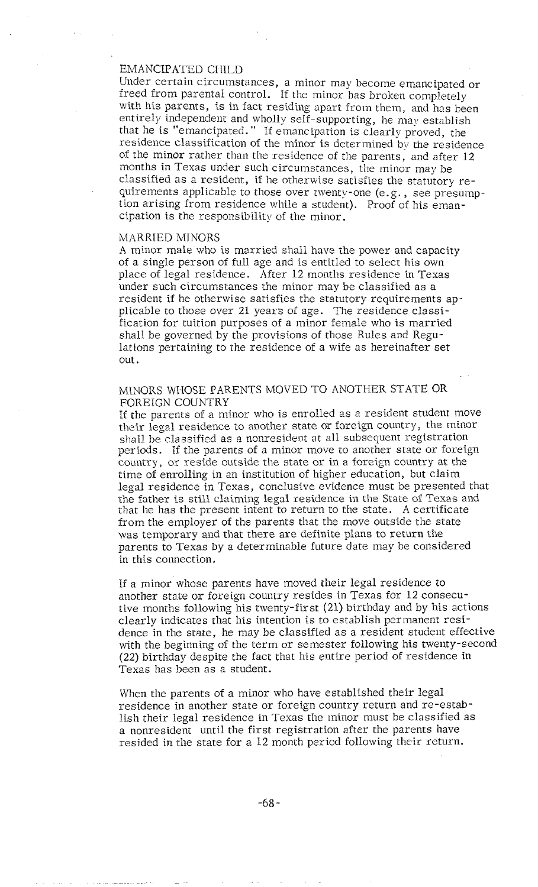### EMANCIPATED CHILD

Under certain circumstances, a minor may become emancipated or freed from parental control. If the minor has broken completely with his parents, is in fact residing apart from them, and has been entirely independent and wholly self-supporting, he may establish that he is "emancipated." If emancipation is clearly proved, the residence classification of the minor is determined by the residence of the minor rather than the residence of the parents, and after 12 months in Texas under such circumstances, the minor may be classified as a resident, if he otherwise satisfies the statutory requirements applicable to those over twenty-one (e.g., see presumption arising from residence while a student). Proof of his emancipation is the responsibility of the minor.

#### MARRIED MINORS

A minor male who is married shall have the power and capacity of a single person of full age and is entitled to select his own place of legal residence. After 12 months residence in Texas under such circumstances the minor may be classified as a resident if he otherwise satisfies the statutory requirements applicable to those over 21 years of age. The residence classification for tuition purposes of a minor female who is married shall be governed by the provisions of those Rules and Regulations pertaining to the residence of a wife as hereinafter set out.

# MINORS WHOSE PARENTS MOVED TO ANOTHER STATE OR FOREIGN COUNTRY

If the parents of a minor who is enrolled as a resident student move their legal residence to another state or foreign country, the minor shall he classified as a nonresident at all subsequent registration periods. If the parents of a minor move to another state or foreign country, or reside outside the state or in a foreign country at the time of enrolling in an institution of higher education, but claim legal residence in Texas, conclusive evidence must be presented that the father is still claiming legal residence in the State of Texas and that he has the present intent to return to the state. A certificate from the employer of the parents that the move outside the state was temporary and that there are definite plans to return the parents to Texas by a determinable future date may be considered in this connection.

If a minor whose parents have moved their legal residence to another state or foreign country resides in Texas for 12 consecutive months following his twenty-first (21) birthday and by his actions clearly indicates that his intention is to establish permanent residence in the state, he may be classified as a resident student effective with the beginning of the term or semester following his twenty-second (22) birthday despite the fact that his entire period of residence in Texas has been as a student.

When the parents of a minor who have established their legal residence in another srate or foreign country return and re-establish their legal residence in Texas the minor must be classified as a nonresident until the first registration after the parents have resided in the state for a 12 month period following their rcturn.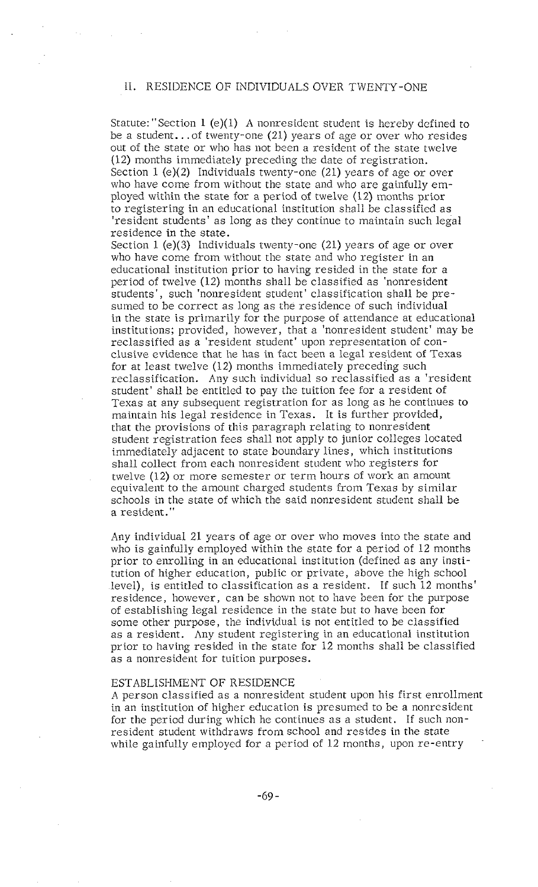### 11. RESIDENCE OF INDIVIDUALS OVER TWENTY-ONE

Statute: "Section 1 (e)(1) A nonresident student is hereby defined to be a student.. .of twenty-one (21) years of age or over who resides out of the state or who has not been a resident of the state twelve (12) months immediately preceding the date of registration. Section 1 (e)(2) Individuals twenty-one (21) years of age or over who have come from without the state and who are gainfully employed within the state for a period of twelve (12) months prior to registering in an educational institution shall be classified as 'resident students' as long as they continue to maintain such legal residence in the state.

Section 1 (e)(3) Individuals twenty-one (21) years of age or over who have come from without the state and who register in an educational institution prior to having resided in the state for a period of twelve (12) months shall be classified as 'nonresident students', such 'nonresident student' classification shall be presumed to be correct as long as the residence of such individual in the state is primarily for the purpose of attendance at educational institutions; provided, however, that a 'nonresident student' may be reclassified as a 'resident student' upon representation of conclusive evidence that he has in fact been a legal resident of Texas for at least twelve (12) months immediately preceding such reclassification. Any such individual so reclassified as a 'resident student' shall be entitled to pay the tuition fee for a resident of Texas at any subsequent registration for as long as he continues to maintain his legal residence in Texas. It is further provided, that the provisions of this paragraph relating to nonresident student registration fees shall not apply to junior colleges located immediately adjacent to state boundary lines, which institutions shall collect from each nonresident student who registers for twelve (12) or more semester or term hours of work an amount equivalent to the amount charged students from Texas by similar schools in the state of which the said nonresident student shall be a resident."

Any individual 21 years of age or over who moves into the state and who is gainfully employed within the state for a period of 12 months prior to enrolling in an educational institution (defined as any institution of higher education, public or private, above the high school level), is entitled to classification as a resident. If such 12 months' residence, however, can be shown not to have been for the purpose of establishing legal residence in the state but to have been for some other purpose, the individual is not entitled to be classified as a resident. Any student registering in an educational institution prior to having resided in the state for 12 months shall be classified as a nonresident for tuition purposes.

#### ESTABLISHMENT OF RESIDENCE

A person classified as a nonresident student upon his first enrollment in an institution of higher education is presumed to be a nonresident for the period during which he continues as a student. If such nonresident student withdraws from school and resides in the state while gainfully employed for a period of 12 months, upon re-entry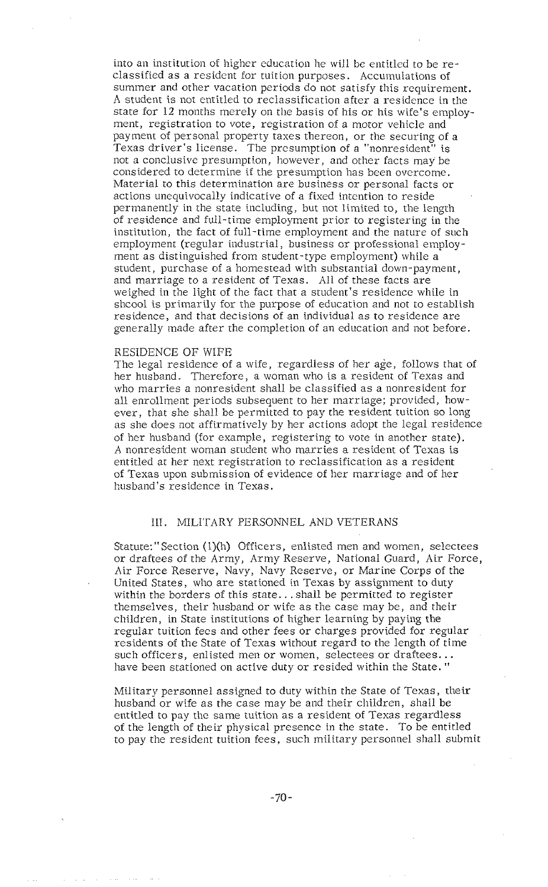into an institution of higher education he will be entitled to be reclassified as a resident for tuition purposes. Accumulations of summer and other vacation periods do not satisfy this requirement. A student is not entitled to reclassification after a residence in the state for 12 months merely on the basis of his or his wife's employment, registration to vote, registration of a motor vehicle and payment of personal property taxes thereon, or the securing of a Texas driver's license. The presumption of a "nonresident" is not a conclusive presumption, however, and other facts may be considered to determine if the presumption has been overcome. Material to this determination are business or personal facts or actions unequivocally indicative of a fixed intention to reside permanently in the state including, but not limited to, the length of residence and full-time employment prior to registering in the institution, the fact of full-time employment and the nature of such employment (regular industrial, business or professional employ-<br>ment as distinguished from student-type employment) while a student, purchase of a homestead with substantial down-payment, and marriage to a resident of Texas. All of these facts are weighed in the light of the fact that a student's residence while in shcool is primarily for the purpose of education and not to establish residence, and that decisions of an individual as to residence are generally made after the completion of an education and not before.

#### RESIDENCE OF WIFE

The legal residence of a wife, regardless of her age, follows that of her husband. Therefore, a woman who is a resident of Texas and who marries a nonresident shall be classified as a nonresident for all enrollment periods subsequent to her marriage; provided, however, that she shall be permitted to pay the resident tuition so long as she does not affirmatively by her actions adopt the legal residence of her husband (for example, registering to vote in another state). A nonresident woman student who marries a resident of Texas is entitled at her next registration to reclassification as a resident of Texas upon submission of evidence of her marriage and of her husband's residence in Texas.

# 111. MILITARY PERSONNEL AND VETERANS

Statute:" Section (l)(h) Officers, enlisted men and women, selectees or draftees of the Army, Army Reserve, National Guard, Air Force, Air Force Reserve, Navy, Navy Reserve, or Marine Corps of the United States, who are stationed in Texas by assignment to duty within the borders of this state.. . shall be permitted to register themselves, their husband or wife as the case may be, and their children, in State institutions of higher learning by paying the regular tuition fees and other fees or charges provided for regular residents of the State of Texas without regard to the length of time such officers, enlisted men or women, selectees or draftees.. . have been stationed on active duty or resided within the State. "

Military personnel assigned to duty within the State of Texas, their husband or wife as the case may be and their children, shall be entitled to pay the same tuition as a resident of Texas regardless of the length of their physical presence in the state. To be entitled to pay the resident tuition fees, such military personnel shall submit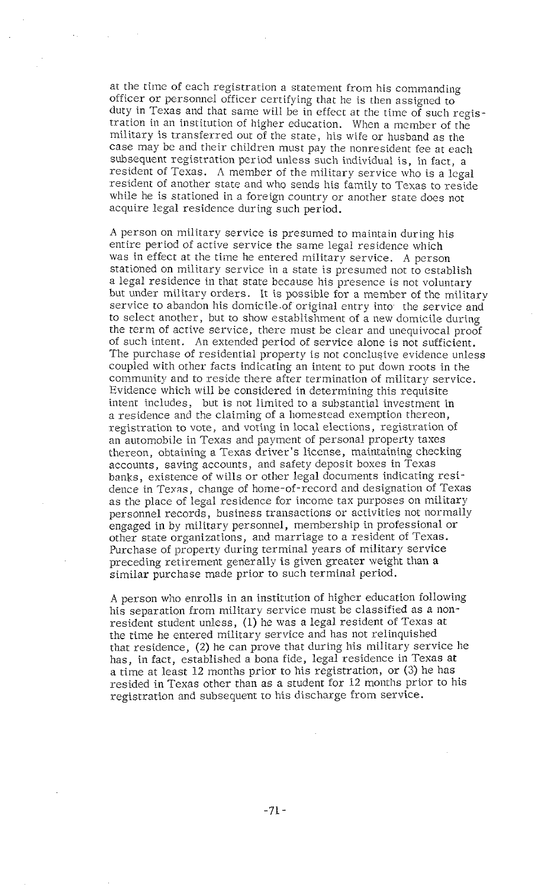at the time of each registration a statement from his commanding officer or personnel officer certifying that he is then assigned to duty in Texas and that same will be in effect at the time of such registration in an institution of higher education. When a member of the military is transferred out of the state, his wife or husband as the case may be and their children must pay the nonresident fee at each subsequent registration period unless such individual is, in fact, a resident of Texas. A member of the military service who is a legal resident of another state and who sends his family to Texas to reside while he is stationed in a foreign country or another state does not acquire legal residence during such period.

A person on military service is presumed to maintain during his entire period of accive service the same legal residence which was in effect at the time he entered military service. A person stationed on military service in a state is presumed not to establish a legal residence in that state because his presence is not voluntary but under military orders. It is possible for a member of the military service to abandon his domicile of original entry into-the service and to select another, but to show establishment of a new domicile during the term of active service, there must be clear and unequivocal proof of such intent. An extended period of service alone is not sufficient. The purchase of residential property is not conclusive evidence unless coupled with other facts indicating an intent to put down roots in the community and to reside there after termination of military service. Evidence which will be considered in determining this requisite intent includes, but is not limited to a substantial investment in a residence and the claiming of a homestead exemption thereon, registration to vote, and voting in local elections, registration of an automobile in Texas and payment of personal property taxes thereon, obtaining a Texas driver's license, maintaining checking accounts, saving accounts, and safety deposit boxes in Texas banks, existence of wills or other legal documents indicating residence in Texas, change of home-of-record and designation of Texas as the place of legal residence for income tax purposes on military personnel records, business transactions or activities not normally engaged in by military personnel, membership in professional or other stare organizations, and marriage to *a* resident of Texas. Purchase of property during terminal years of military service preceding retirement generally is given greater weight than a similar purchase made prior to such terminal period.

A person who enrolls in an institution of higher education following his separation from military service must be classified as *a* nonresident student unless, (1) he was *a* legal resident of Texas at the time he entered military service and has not relinquished that residence,  $(2)$  he can prove that during his military service he has, in fact, established a bona fide, legal residence in Texas at a time at least 12 months prior to his registration, or (3) he has resided in Texas other than as a student for 12 months prior to his registration and subsequent to his discharge from service.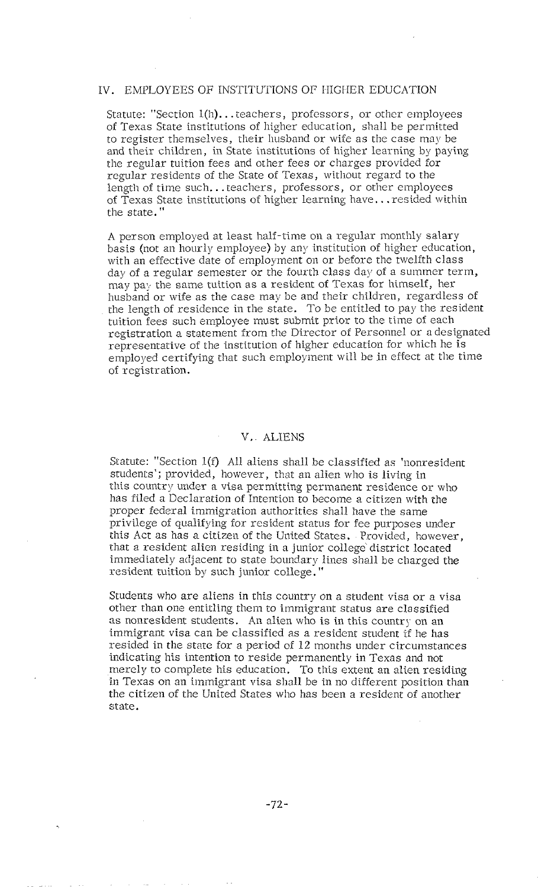## IV. EMPLOYEES OF INSTITUTIONS OF HIGHER EDUCATION

*Statute: "Section l(h).* . *.teachers, professors, or other employees of Texas State institutions of higher education, shall be permitted*  to register themselves, their husband or wife as the case may be *and their children, in State institutions of higher learning by paying the regular tuition fees and other fees or charges provided for regular residents of the State of Texas, without regard to the length of time such.. .teachers, professors, or other employees of Texas State institutions of higher learning have.. .resided within the state."* 

*A person employed at least half-time on a regular monthly salary basis (not an hourly employee) by any institution of higher education, with an effective date of employment on or before the twelfth class*  day of a regular semester or the fourth class day of a summer term, *may pa:, the same tuition as a resident of Texas for himself, her*  husband or wife as the case may be and their children, regardless of *the length of residence in the state. To be entitled to pay the resident tuition fees such employee must submit prior to the tiine of each registration a statement from the Director of Personnel or a designated representative of the institution of higher education for which he is employed certifying that such employinent will be in effect at the time of registr ation.* 

# V. ALIENS

*Statute: "Section l(f) All aliens shall be classified as 'nonresident students'; provided, however, that an alien who is living in this country under a visa permitting permanent residence or who has filed a Declaration of Intention to become* a *citizen with the proper federal immigration a~thorities shall have the same privilege of qualifying for resident status for fee purposes under this Act as has a citizen of the United States. Provided, however, That a resident alien residing in a junior collegc district located immediately adjacent to state boundary lines shall be charged the*  resident tuition by such junior college."

*Students who are aliens in this country on a student visa or a visa other than one entitling them to immigrant status are classified as nonresident students. An alien who is in this country on* an *immigrant visa can be classified as a resident student if he has resided in the state for a period of 12 months under circumstances indicating his intention to reside permanentlj~ in Texas and not merely to complete his education. To this extent an alien residing in Texas on an immigrant visa shall be in no different position than the citizen of the United Stares who has been a resident of another state.*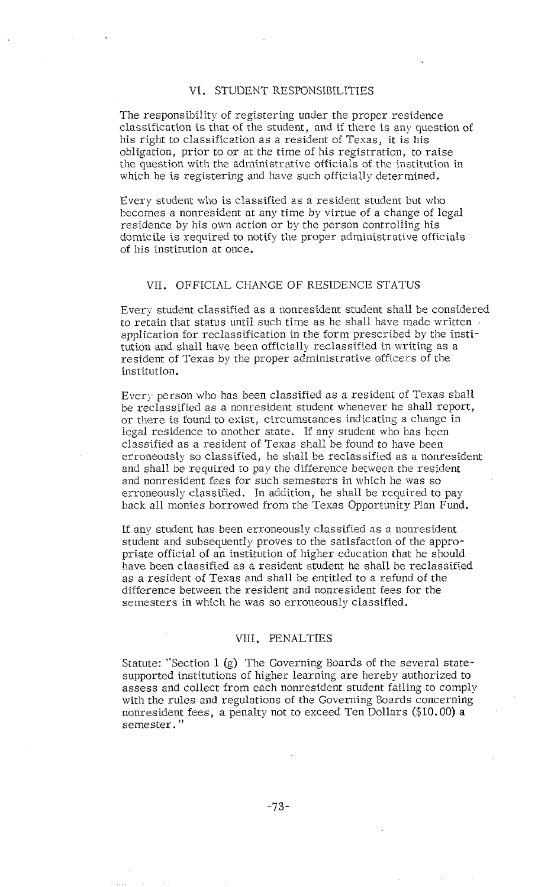### VI. STUDENT RESPONSIBILITIES

The responsibility of registering under the proper residence classification is that of the student, and if there is any question of his right to classification as a resident of Texas, it is his obligation, prior to or at the time of his registration, to raise the question with the administrative officials of the institution in which he is registering and have such officially determined.

Every student who is classified as a resident student but who becomes a nonresident at any time by virtue of a change of legal residence by his own action or by the person controlling his domicile is required to notify the proper administrative officials of his institution at once.

# VII. OFFICIAL CHANGE OF RESIDENCE STATUS

Every student classified as a nonresident student shall be considered to retain that status until such time as he shall have made written . application for reclassification in the form prescribed by the institution and shall have been officially reclassified in writing as *a*  resident of Texas by the proper administrative officers of the institution.

Every person who has been classified as a resident of Texas shall be reclassified as a nonresident student whenever he shall report, or there is found to exist, circumstances indicating a change in legal residence to another state. If any student who has been classified as a resident of Texas shall be found to have been erroneously so classified, he shall be reclassified as a nonresident and shall be required to pay the difference between the resident and nonresident fees for such semesters in which he was so erroneously classified. In addition, he shall be required to pay back all monies borrowed from the Texas Opportunity Plan Fund.

If any student has been erroneously classified as a nonresident student and subsequently proves to the satisfaction of the appropriate official of an institution of higher education that he should have been classified as a resident student he shall be reclassified as a resident of Texas and shall be entitled to a refund of the difference between the resident and nonresident fees for the semesters in which he was so erroneously classified.

# VIII. PENALTIES

Statute: "Section 1 (g) The Governing Boards of the several statesupported institutions of higher learning are hereby authorized to assess and collect from each nonresident student failing to comply with the rules and regulations of the Governing Boards concerning nonresident fees, a penalty not to exceed Ten Dollars (\$10.00) a semester."